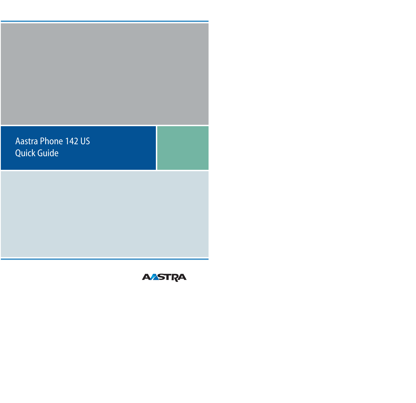Aastra Phone 142 US Quick Guide

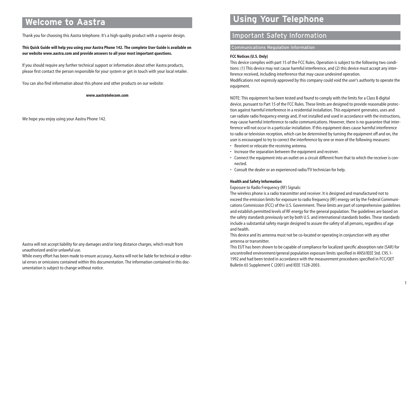# **Welcome to Aastra**

Thank you for choosing this Aastra telephone. It's a high-quality product with a superior design.

**This Quick Guide will help you using your Aastra Phone 142. The complete User Guide is available on our website www.aastra.com and provide answers to all your most important questions.** 

If you should require any further technical support or information about other Aastra products, please first contact the person responsible for your system or get in touch with your local retailer.

You can also find information about this phone and other products on our website:

**www.aastratelecom.com**

We hope you enjoy using your Aastra Phone 142.

Aastra will not accept liability for any damages and/or long distance charges, which result from unauthorized and/or unlawful use.

While every effort has been made to ensure accuracy, Aastra will not be liable for technical or editorial errors or omissions contained within this documentation. The information contained in this documentation is subject to change without notice.

# **Using Your Telephone**

# Important Safety Information

# Communications Regulation Information

# **FCC Notices (U.S. Only)**

This device complies with part 15 of the FCC Rules. Operation is subject to the following two conditions: (1) This device may not cause harmful interference, and (2) this device must accept any interference received, including interference that may cause undesired operation.

Modifications not expressly approved by this company could void the user's authority to operate the equipment.

NOTE: This equipment has been tested and found to comply with the limits for a Class B digital device, pursuant to Part 15 of the FCC Rules. These limits are designed to provide reasonable protection against harmful interference in a residential installation. This equipment generates, uses and can radiate radio frequency energy and, if not installed and used in accordance with the instructions, may cause harmful interference to radio communications. However, there is no guarantee that interference will not occur in a particular installation. If this equipment does cause harmful interference to radio or television reception, which can be determined by turning the equipment off and on, the user is encouraged to try to correct the interference by one or more of the following measures:

- Reorient or relocate the receiving antenna.
- Increase the separation between the equipment and receiver.
- Connect the equipment into an outlet on a circuit different from that to which the receiver is connected.
- Consult the dealer or an experienced radio/TV technician for help.

#### **Health and Safety Information**

Exposure to Radio Frequency (RF) Signals:

The wireless phone is a radio transmitter and receiver. It is designed and manufactured not to exceed the emission limits for exposure to radio frequency (RF) energy set by the Federal Communications Commission (FCC) of the U.S. Government. These limits are part of comprehensive guidelines and establish permitted levels of RF energy for the general population. The guidelines are based on the safety standards previously set by both U.S. and international standards bodies. These standards include a substantial safety margin designed to assure the safety of all persons, regardless of age and health.

This device and its antenna must not be co-located or operating in conjunction with any other antenna or transmitter.

This EUT has been shown to be capable of compliance for localized specific absorption rate (SAR) for uncontrolled environment/general population exposure limits specified in ANSI/IEEE Std. C95.1- 1992 and had been tested in accordance with the measurement procedures specified in FCC/OET Bulletin 65 Supplement C (2001) and IEEE 1528-2003.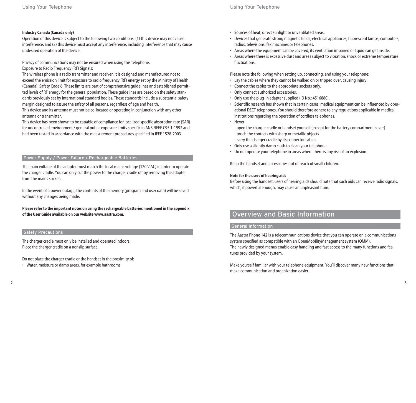### **Industry Canada (Canada only)**

Operation of this device is subject to the following two conditions: (1) this device may not cause interference, and (2) this device must accept any interference, including interference that may cause undesired operation of the device.

Privacy of communications may not be ensured when using this telephone. Exposure to Radio Frequency (RF) Signals:

The wireless phone is a radio transmitter and receiver. It is designed and manufactured not to exceed the emission limit for exposure to radio frequency (RF) energy set by the Ministry of Health (Canada), Safety Code 6. These limits are part of comprehensive guidelines and established permitted levels of RF energy for the general population. These guidelines are based on the safety standards previously set by international standard bodies. These standards include a substantial safety margin designed to assure the safety of all persons, regardless of age and health.

This device and its antenna must not be co-located or operating in conjunction with any other antenna or transmitter.

This device has been shown to be capable of compliance for localized specific absorption rate (SAR) for uncontrolled environment / general public exposure limits specific in ANSI/IEEE C95.1-1992 and had been tested in accordance with the measurement procedures specified in IEEE 1528-2003.

# Power Supply / Power Failure / Rechargeable Batteries

The main voltage of the adapter must match the local mains voltage (120 V AC) in order to operate the charger cradle. You can only cut the power to the charger cradle off by removing the adapter from the mains socket.

In the event of a power outage, the contents of the memory (program and user data) will be saved without any changes being made.

# **Please refer to the important notes on using the rechargeable batteries mentioned in the appendix of the User Guide available on our website www.aastra.com.**

#### Safety Precautions

The charger cradle must only be installed and operated indoors. Place the charger cradle on a nonslip surface.

Do not place the charger cradle or the handset in the proximity of:

• Water, moisture or damp areas, for example bathrooms.

- Sources of heat, direct sunlight or unventilated areas.
- Devices that generate strong magnetic fields, electrical appliances, fluorescent lamps, computers, radios, televisions, fax machines or telephones.
- Areas where the equipment can be covered, its ventilation impaired or liquid can get inside.
- Areas where there is excessive dust and areas subject to vibration, shock or extreme temperature fluctuations.

Please note the following when setting up, connecting, and using your telephone:

- Lay the cables where they cannot be walked on or tripped over, causing injury.
- Connect the cables to the appropriate sockets only.
- Only connect authorized accessories.
- Only use the plug-in adapter supplied (ID No.: 4516880).
- Scientific research has shown that in certain cases, medical equipment can be influenced by operational DECT telephones. You should therefore adhere to any regulations applicable in medical institutions regarding the operation of cordless telephones.
- Never
	- open the charger cradle or handset yourself (except for the battery compartment cover)
	- touch the contacts with sharp or metallic objects
	- carry the charger cradle by its connector cables.
- Only use a slightly damp cloth to clean your telephone.
- Do not operate your telephone in areas where there is any risk of an explosion.

Keep the handset and accessories out of reach of small children.

#### **Note for the users of hearing aids**

Before using the handset, users of hearing aids should note that such aids can receive radio signals, which, if powerful enough, may cause an unpleasant hum.

# Overview and Basic Information

### General Information

The Aastra Phone 142 is a telecommunications device that you can operate on a communications system specified as compatible with an OpenMobilityManagement system (OMM). The newly designed menus enable easy handling and fast access to the many functions and features provided by your system.

Make yourself familiar with your telephone equipment. You'll discover many new functions that make communication and organization easier.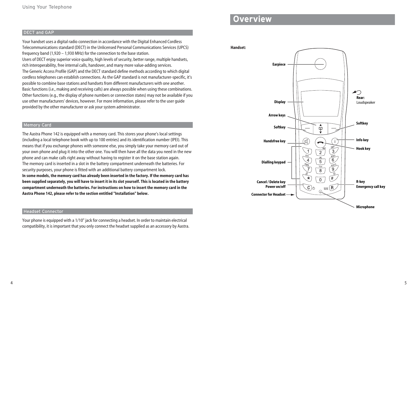# DECT and GAP

Your handset uses a digital radio connection in accordance with the Digital Enhanced Cordless Telecommunications standard (DECT) in the Unlicensed Personal Communications Services (UPCS) frequency band (1,920 – 1,930 MHz) for the connection to the base station. Users of DECT enjoy superior voice quality, high levels of security, better range, multiple handsets, rich interoperability, free internal calls, handover, and many more value-adding services. The Generic Access Profile (GAP) and the DECT standard define methods according to which digital cordless telephones can establish connections. As the GAP standard is not manufacturer-specific, it's possible to combine base stations and handsets from different manufacturers with one another. Basic functions (i.e., making and receiving calls) are always possible when using these combinations. Other functions (e.g., the display of phone numbers or connection states) may not be available if you use other manufacturers' devices, however. For more information, please refer to the user guide provided by the other manufacturer or ask your system administrator.

#### Memory Card

The Aastra Phone 142 is equipped with a memory card. This stores your phone's local settings (including a local telephone book with up to 100 entries) and its identification number (IPEI). This means that if you exchange phones with someone else, you simply take your memory card out of your own phone and plug it into the other one. You will then have all the data you need in the new phone and can make calls right away without having to register it on the base station again. The memory card is inserted in a slot in the battery compartment underneath the batteries. For security purposes, your phone is fitted with an additional battery compartment lock. **In some models, the memory card has already been inserted in the factory. If the memory card has been supplied separately, you will have to insert it in its slot yourself. This is located in the battery compartment underneath the batteries. For instructions on how to insert the memory card in the Aastra Phone 142, please refer to the section entitled "Installation" below.**

### Headset Connector

Your phone is equipped with a 1/10" jack for connecting a headset. In order to maintain electrical compatibility, it is important that you only connect the headset supplied as an accessory by Aastra.

# **Overview**

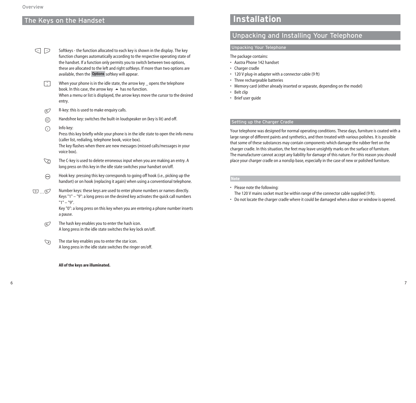# The Keys on the Handset

- Softkeys the function allocated to each key is shown in the display. The key function changes automatically according to the respective operating state of the handset. If a function only permits you to switch between two options, these are allocated to the left and right softkeys. If more than two options are available, then the **Options** softkey will appear. D E
	- When your phone is in the idle state, the arrow key \_ opens the telephone book. In this case, the arrow key  $\blacktriangle$  has no function. When a menu or list is displayed, the arrow keys move the cursor to the desired entry. F
	- R-key: this is used to make enquiry calls. R)
	- Handsfree key: switches the built-in loudspeaker on (key is lit) and off.  $\circledR$
	- Info key:  $\bigcap$

Press this key briefly while your phone is in the idle state to open the info menu (caller list, redialing, telephone book, voice box).

The key flashes when there are new messages (missed calls/messages in your voice box).

- The C-key is used to delete erroneous input when you are making an entry. A long press on this key in the idle state switches your handset on/off. <u>ک</u>
- Hook key: pressing this key corresponds to going off hook (i.e., picking up the handset) or on hook (replacing it again) when using a conventional telephone.  $\ominus$
- Number keys: these keys are used to enter phone numbers or names directly. Keys "1" – "9": a long press on the desired key activates the quick call numbers "1" – "9". 0…9

Key "0": a long press on this key when you are entering a phone number inserts a pause.

- The hash key enables you to enter the hash icon. A long press in the idle state switches the key lock on/off.  $\mathbb{F}$
- The star key enables you to enter the star icon. A long press in the idle state switches the ringer on/off.  $\mathbb{Z}$

#### **All of the keys are illuminated.**

# **Installation**

# Unpacking and Installing Your Telephone

# Unpacking Your Telephone

The package contains:

- Aastra Phone 142 handset
- Charger cradle
- 120 V plug-in adapter with a connector cable (9 ft)
- Three rechargeable batteries
- Memory card (either already inserted or separate, depending on the model)
- Belt clip
- Brief user guide

# Setting up the Charger Cradle

Your telephone was designed for normal operating conditions. These days, furniture is coated with a large range of different paints and synthetics, and then treated with various polishes. It is possible that some of these substances may contain components which damage the rubber feet on the charger cradle. In this situation, the feet may leave unsightly marks on the surface of furniture. The manufacturer cannot accept any liability for damage of this nature. For this reason you should place your charger cradle on a nonslip base, especially in the case of new or polished furniture.

# **Note**

• Please note the following:

The 120 V mains socket must be within range of the connector cable supplied (9 ft).

• Do not locate the charger cradle where it could be damaged when a door or window is opened.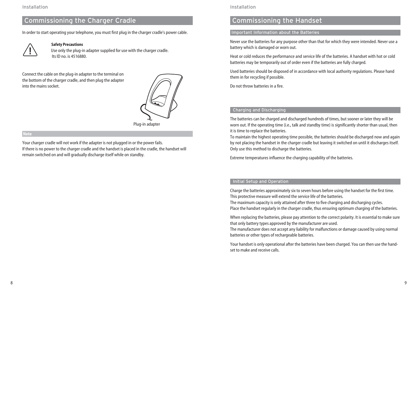# Commissioning the Charger Cradle

In order to start operating your telephone, you must first plug in the charger cradle's power cable.



# **Safety Precautions**

Use only the plug-in adapter supplied for use with the charger cradle. Its ID no. is 4516880.

Connect the cable on the plug-in adapter to the terminal on the bottom of the charger cradle, and then plug the adapter into the mains socket.



Plug-in adapter

#### **Note**

Your charger cradle will not work if the adapter is not plugged in or the power fails. If there is no power to the charger cradle and the handset is placed in the cradle, the handset will remain switched on and will gradually discharge itself while on standby.

### Installation

# Commissioning the Handset

# Important Information about the Batteries

Never use the batteries for any purpose other than that for which they were intended. Never use a battery which is damaged or worn out.

Heat or cold reduces the performance and service life of the batteries. A handset with hot or cold batteries may be temporarily out of order even if the batteries are fully charged.

Used batteries should be disposed of in accordance with local authority regulations. Please hand them in for recycling if possible.

Do not throw batteries in a fire.

### Charging and Discharging

The batteries can be charged and discharged hundreds of times, but sooner or later they will be worn out. If the operating time (i.e., talk and standby time) is significantly shorter than usual, then it is time to replace the batteries.

To maintain the highest operating time possible, the batteries should be discharged now and again by not placing the handset in the charger cradle but leaving it switched on until it discharges itself. Only use this method to discharge the batteries.

Extreme temperatures influence the charging capability of the batteries.

# Initial Setup and Operation

Charge the batteries approximately six to seven hours before using the handset for the first time. This protective measure will extend the service life of the batteries.

The maximum capacity is only attained after three to five charging and discharging cycles. Place the handset regularly in the charger cradle, thus ensuring optimum charging of the batteries.

When replacing the batteries, please pay attention to the correct polarity. It is essential to make sure that only battery types approved by the manufacturer are used.

The manufacturer does not accept any liability for malfunctions or damage caused by using normal batteries or other types of rechargeable batteries.

Your handset is only operational after the batteries have been charged. You can then use the handset to make and receive calls.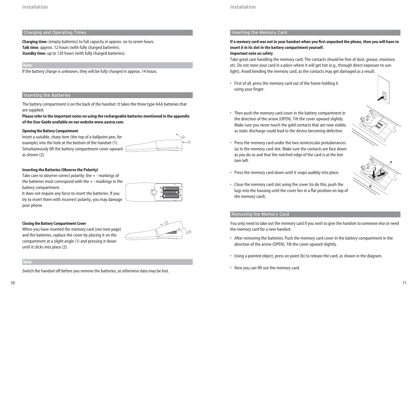### Installation

# Charging and Operating Times

**Charging time:** (empty batteries) to full capacity in approx. six to seven hours. **Talk time:** approx. 12 hours (with fully charged batteries). **Standby time:** up to 120 hours (with fully charged batteries).

# **Note**

If the battery charge is unknown, they will be fully charged in approx. 14 hours.

### Inserting the Batteries

The battery compartment is on the back of the handset. It takes the three type AAA batteries that are supplied.

**Please refer to the important notes on using the rechargeable batteries mentioned in the appendix of the User Guide available on our website www.aastra.com.**

### **Opening the Battery Compartment**

Insert a suitable, sharp item (the top of a ballpoint pen, for example) into the hole at the bottom of the handset (1). Simultaneously lift the battery compartment cover upward as shown (2).



#### **Inserting the Batteries (Observe the Polarity)**

Take care to observe correct polarity: the + - markings of the batteries must correspond with the  $+$  - markings in the battery compartment.

It does not require any force to insert the batteries. If you try to insert them with incorrect polarity, you may damage your phone.



#### **Closing the Battery Compartment Cover**

When you have inserted the memory card (see next page) and the batteries, replace the cover by placing it on the compartment at a slight angle (1) and pressing it down until it clicks into place (2).



#### **Note**

Switch the handset off before you remove the batteries, as otherwise data may be lost.

# Inserting the Memory Card

# **If a memory card was not in your handset when you first unpacked the phone, then you will have to insert it in its slot in the battery compartment yourself.**

### **Important note on safety**

Take great care handling the memory card. The contacts should be free of dust, grease, moisture, etc. Do not store your card in a place where it will get hot (e.g., through direct exposure to sunlight). Avoid bending the memory card, as the contacts may get damaged as a result.

• First of all, press the memory card out of the frame holding it using your finger.



• Then push the memory card cover in the battery compartment in the direction of the arrow (OPEN). Tilt the cover upward slightly. Make sure you never touch the gold contacts that are now visible, as static discharge could lead to the device becoming defective.



- Press the memory card under the two semicircular protuberances (a) in the memory card slot. Make sure the contacts are face down as you do so and that the notched edge of the card is at the bottom left.
- Press the memory card down until it snaps audibly into place.
- Close the memory card slot using the cover (to do this, push the lugs into the housing until the cover lies in a flat position on top of the memory card).



### Removing the Memory Card

You only need to take out the memory card if you wish to give the handset to someone else or need the memory card for a new handset.

- After removing the batteries: Push the memory card cover in the battery compartment in the direction of the arrow (OPEN). Tilt the cover upward slightly.
- Using a pointed object, press on point (b) to release the card, as shown in the diagram.
- Now you can lift out the memory card.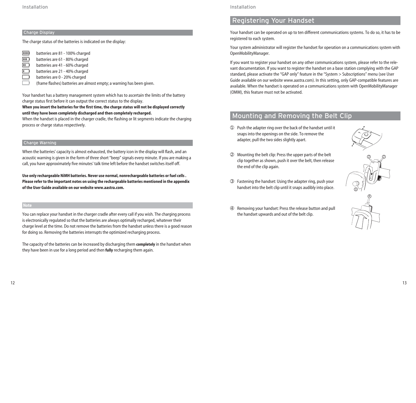### Charge Display

The charge status of the batteries is indicated on the display:

- $\overline{m}$  batteries are 81 100% charged<br> $\overline{m}$  batteries are 61 80% charged
- 
- **III** batteries are 61 80% charged<br>batteries are 41 60% charged **Ⅰ** batteries are 41 - 60% charged<br>**batteries are 21 - 40% charged**
- batteries are 21 40% charged
- batteries are 0 20% charged
- (frame flashes) batteries are almost empty; a warning has been given.

Your handset has a battery management system which has to ascertain the limits of the battery charge status first before it can output the correct status to the display.

## **When you insert the batteries for the first time, the charge status will not be displayed correctly until they have been completely discharged and then completely recharged.**

When the handset is placed in the charger cradle, the flashing or lit segments indicate the charging process or charge status respectively.

### Charge Warning

When the batteries' capacity is almost exhausted, the battery icon in the display will flash, and an acoustic warning is given in the form of three short "beep" signals every minute. If you are making a call, you have approximately five minutes' talk time left before the handset switches itself off.

**Use only rechargeable NiMH batteries. Never use normal, nonrechargeable batteries or fuel cells . Please refer to the important notes on using the rechargeable batteries mentioned in the appendix of the User Guide available on our website www.aastra.com.**

#### **Note**

You can replace your handset in the charger cradle after every call if you wish. The charging process is electronically regulated so that the batteries are always optimally recharged, whatever their charge level at the time. Do not remove the batteries from the handset unless there is a good reason for doing so. Removing the batteries interrupts the optimized recharging process.

The capacity of the batteries can be increased by discharging them **completely** in the handset when they have been in use for a long period and then **fully** recharging them again.

### Installation

# Registering Your Handset

Your handset can be operated on up to ten different communications systems. To do so, it has to be registered to each system.

Your system administrator will register the handset for operation on a communications system with OpenMobilityManager.

If you want to register your handset on any other communications system, please refer to the relevant documentation. If you want to register the handset on a base station complying with the GAP standard, please activate the "GAP only" feature in the "System > Subscriptions" menu (see User Guide available on our website www.aastra.com). In this setting, only GAP-compatible features are available. When the handset is operated on a communications system with OpenMobilityManager (OMM), this feature must not be activated.

# Mounting and Removing the Belt Clip

➀ Push the adapter ring over the back of the handset until it snaps into the openings on the side. To remove the adapter, pull the two sides slightly apart.



2) (2

- ➁ Mounting the belt clip: Press the upper parts of the belt clip together as shown, push it over the belt, then release the end of the clip again.
- ➂ Fastening the handset: Using the adapter ring, push your handset into the belt clip until it snaps audibly into place.
- ➃ Removing your handset: Press the release button and pull the handset upwards and out of the belt clip.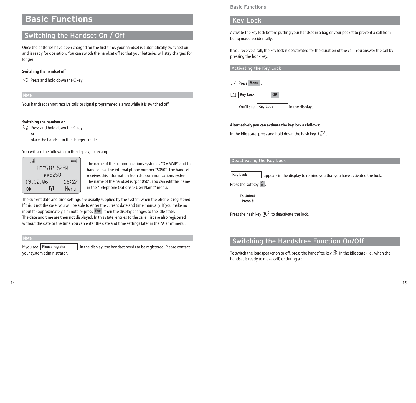# **Basic Functions**

# Switching the Handset On / Off

Once the batteries have been charged for the first time, your handset is automatically switched on and is ready for operation. You can switch the handset off so that your batteries will stay charged for longer.

#### **Switching the handset off**

C Press and hold down the C key.

**Note**

Your handset cannot receive calls or signal programmed alarms while it is switched off.

### **Switching the handset on**

C Press and hold down the C key

**or**

place the handset in the charger cradle.

You will see the following in the display, for example:

| -41         |       |  |  |  |  |
|-------------|-------|--|--|--|--|
| OMMSIP 5050 |       |  |  |  |  |
| РР5050      |       |  |  |  |  |
| 19.10.06    | 16:27 |  |  |  |  |
| M<br>œ      | Menu  |  |  |  |  |

The name of the communications system is "OMMSIP" and the handset has the internal phone number "5050". The handset receives this information from the communications system. The name of the handset is "pp5050". You can edit this name in the "Telephone Options > User Name" menu.

The current date and time settings are usually supplied by the system when the phone is registered. If this is not the case, you will be able to enter the current date and time manually. If you make no input for approximately a minute or press **Esc** , then the display changes to the idle state. The date and time are then not displayed. In this state, entries to the caller list are also registered without the date or the time.You can enter the date and time settings later in the "Alarm" menu.

**Note**

in the display, the handset needs to be registered. Please contact your system administrator. **If you see** Please register!

Basic Functions

# Key Lock

Activate the key lock before putting your handset in a bag or your pocket to prevent a call from being made accidentally.

If you receive a call, the key lock is deactivated for the duration of the call. You answer the call by pressing the hook key.

Activating the Key Lock

E Press . **Menu**

F . **Key Lock OK**

You'll see **| Key Lock** | in the display.

### **Alternatively you can activate the key lock as follows:**

In the idle state, press and hold down the hash key  $\mathbb{E}$ .

# Deactivating the Key Lock

appears in the display to remind you that you have activated the lock. **Key Lock**

Press the softkey  $\widehat{\mathbf{g}}$  .

**To Unlock Press #**

Press the hash key  $\mathbb{F}$  to deactivate the lock.

# Switching the Handsfree Function On/Off

To switch the loudspeaker on or off, press the handsfree key $\textcircled{1}$  in the idle state (i.e., when the handset is ready to make call) or during a call.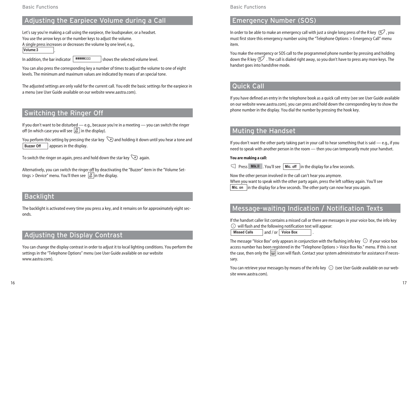# Adjusting the Earpiece Volume during a Call

Let's say you're making a call using the earpiece, the loudspeaker, or a headset. You use the arrow keys or the number keys to adjust the volume. A single press increases or decreases the volume by one level, e.g., **Volume:3**

In addition, the bar indicator  $\sqrt{\frac{1}{2} \cdot \frac{1}{2} \cdot \frac{1}{2}}$  shows the selected volume level. ]]]]]|||

You can also press the corresponding key a number of times to adjust the volume to one of eight levels. The minimum and maximum values are indicated by means of an special tone.

The adjusted settings are only valid for the current call. You edit the basic settings for the earpiece in a menu (see User Guide available on our website www.aastra.com).

# Switching the Ringer Off

If you don't want to be disturbed — e.g., because you're in a meeting — you can switch the ringer off (in which case you will see  $[\underline{\mathbb{X}}]$  in the display).

You perform this setting by pressing the star key  $\searrow$  and holding it down until you hear a tone and appears in the display. **Buzzer Off**

To switch the ringer on again, press and hold down the star key  $\searrow$  again.

Alternatively, you can switch the ringer off by deactivating the "Buzzer" item in the "Volume Settings > Device" menu. You'll then see in the display. ‹

# **Backlight**

The backlight is activated every time you press a key, and it remains on for approximately eight seconds.

# Adjusting the Display Contrast

You can change the display contrast in order to adjust it to local lighting conditions. You perform the settings in the "Telephone Options" menu (see User Guide available on our website www.aastra.com).

Basic Functions

# Emergency Number (SOS)

In order to be able to make an emergency call with just a single long press of the R key  $\mathbb{R}$ , you must first store this emergency number using the "Telephone Options > Emergency Call" menu item.

You make the emergency or SOS call to the programmed phone number by pressing and holding down the R key  $\mathbb{R}^7$  . The call is dialed right away, so you don't have to press any more keys. The handset goes into handsfree mode.

# Quick Call

If you have defined an entry in the telephone book as a quick call entry (see see User Guide available on our website www.aastra.com), you can press and hold down the corresponding key to show the phone number in the display. You dial the number by pressing the hook key.

# Muting the Handset

If you don't want the other party taking part in your call to hear something that is said  $-$  e.g., if you need to speak with another person in the room — then you can temporarily mute your handset.

### **You are making a call:**

◯ Press Mik.<sup>3</sup> Mik.<sup>3</sup> . You'll see | Mic. off | in the display for a few seconds.

Now the other person involved in the call can't hear you anymore. When you want to speak with the other party again, press the left softkey again. You'll see **Mic. on**  $\;$  |in the display for a few seconds. The other party can now hear you again.

# Message-waiting Indication / Notification Texts

If the handset caller list contains a missed call or there are messages in your voice box, the info key

 $\Box$  will flash and the following notification text will appear: **Missed Calls And / or | Voice Box And I**.

The message "Voice Box" only appears in conjunction with the flashing info key  $\circled{0}$  if your voice box access number has been registered in the "Telephone Options > Voice Box No." menu. If this is not the case, then only the  $|\mathfrak{W}|$  icon will flash. Contact your system administrator for assistance if necessary.

You can retrieve your messages by means of the info key  $\circled{1}$  (see User Guide available on our website www.aastra.com).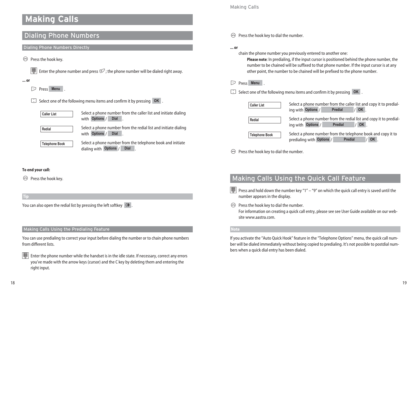# **Making Calls**

# Dialing Phone Numbers

Dialing Phone Numbers Directly

 $\Theta$  Press the hook key.

**THE Enter the phone number and press**  $\mathbb{F}$  the phone number will be dialed right away.

**... or**

E Press . **Menu**

**E** Select one of the following menu items and confirm it by pressing **OK**.



Select a phone number from the caller list and initiate dialing with Options / Dial .

**Redial**

Select a phone number from the redial list and initiate dialing with Options / Dial <u>,</u>

**Telephone Book**

Select a phone number from the telephone book and initiate dialing with **Options** / **Dial** .

# Making Calls

 $\Theta$  Press the hook key to dial the number.

**... or**

chain the phone number you previously entered to another one:

**Please note**: In predialing, if the input cursor is positioned behind the phone number, the number to be chained will be suffixed to that phone number. If the input cursor is at any other point, the number to be chained will be prefixed to the phone number.

E Press . **Menu**

**F** Select one of the following menu items and confirm it by pressing **OK**.

| <b>Caller List</b>    | Select a phone number from the caller list and copy it to predial-<br>OK<br>ing with Options /<br>Predial         |
|-----------------------|-------------------------------------------------------------------------------------------------------------------|
| Redial                | Select a phone number from the redial list and copy it to predial-<br>ing with Options /<br>OK<br><b>Predial</b>  |
| <b>Telephone Book</b> | Select a phone number from the telephone book and copy it to<br>predialing with Options /<br><b>Predial</b><br>OK |

 $\Theta$  Press the hook key to dial the number.

# **To end your call:**

 $\Theta$  Press the hook key.

**Tip**

You can also open the redial list by pressing the left softkey  $|\mathcal{Q}|$  .

# Making Calls Using the Predialing Feature

You can use predialing to correct your input before dialing the number or to chain phone numbers from different lists.

Enter the phone number while the handset is in the idle state. If necessary, correct any errors you've made with the arrow keys (cursor) and the C key by deleting them and entering the right input.

# Making Calls Using the Quick Call Feature

**FORD** Press and hold down the number key "1" – "9" on which the quick call entry is saved until the number appears in the display.

 $\Theta$  Press the hook key to dial the number. For information on creating a quick call entry, please see see User Guide available on our website www.aastra.com

### **Note**

If you activate the "Auto Quick Hook" feature in the "Telephone Options" menu, the quick call number will be dialed immediately without being copied to predialing. It's not possible to postdial numbers when a quick dial entry has been dialed.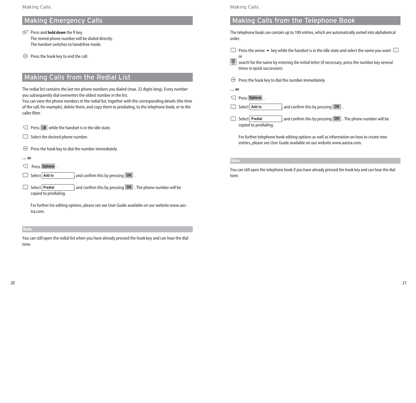# Making Emergency Calls

- **P** Press and **hold down** the R key. The stored phone number will be dialed directly. The handset switches to handsfree mode.
- $\Theta$  Press the hook key to end the call.

# Making Calls from the Redial List

The redial list contains the last ten phone numbers you dialed (max. 32 digits long). Every number you subsequently dial overwrites the oldest number in the list.

You can view the phone numbers in the redial list, together with the corresponding details (the time of the call, for example), delete them, and copy them to predialing, to the telephone book, or to the caller filter.

 $\lceil \cdot \rceil$  Press  $\lceil \cdot \rceil$  while the handset is in the idle state.

- $\therefore$  Select the desired phone number.
- $\Theta$ Press the hook key to dial the number immediately
- **… or**
- €  $\epsilon$  Press Options .
- $\Box$ **Add to , and confirm this by pressing OK** .
- **Fill** Select Predial Select **,** and confirm this by pressing . The phone number will be **Predial OK** copied to predialing.

For further list editing options, please see see User Guide available on our website www.aastra.com.

#### **Note**

You can still open the redial list when you have already pressed the hook key and can hear the dial tone.

## Making Calls

# Making Calls from the Telephone Book

The telephone book can contain up to 100 entries, which are automatically sorted into alphabetical order.

- F Press the arrow  $\blacktriangleright$  key while the handset is in the idle state and select the name you want  $\Box$
- or  $\boxed{\Xi\Xi}$  search for the name by entering the initial letter (if necessary, press the number key several times in quick succession).
- $\Theta$ Press the hook key to dial the number immediately
- **… or**
- D Press . **Options**
- Select Add to **Add to , and confirm this by pressing OK**.
- Select Predial Select **,** and confirm this by pressing . The phone number will be **Predial OK** copied to predialing.

For further telephone book editing options as well as information on how to create new entries, please see User Guide available on our website www.aastra.com.

### **Note**

You can still open the telephone book if you have already pressed the hook key and can hear the dial tone.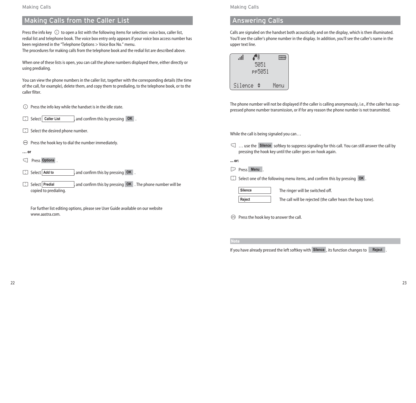# Making Calls from the Caller List

Press the info key  $\odot$  to open a list with the following items for selection: voice box, caller list, redial list and telephone book. The voice box entry only appears if your voice box access number has been registered in the "Telephone Options > Voice Box No." menu.

The procedures for making calls from the telephone book and the redial list are described above.

When one of these lists is open, you can call the phone numbers displayed there, either directly or using predialing.

You can view the phone numbers in the caller list, together with the corresponding details (the time of the call, for example), delete them, and copy them to predialing, to the telephone book, or to the caller filter.

 $\odot$  Press the info key while the handset is in the idle state.

Select Caller List Select **,** and confirm this by pressing . **Caller List OK**

- $\therefore$  Select the desired phone number.
- $\Theta$  Press the hook key to dial the number immediately.

**… or**

- $\subset$  $\leftarrow$  Press Options.
- a **Add to , and confirm this by pressing OK**.
- Select Predial Select **,** and confirm this by pressing . The phone number will be **Predial OK** copied to predialing.

For further list editing options, please see User Guide available on our website www.aastra.com.

Making Calls

# Answering Calls

Calls are signaled on the handset both acoustically and on the display, which is then illuminated. You'll see the caller's phone number in the display. In addition, you'll see the caller's name in the upper text line.

|         | 5051<br>PP5051 |      |
|---------|----------------|------|
| Silence | ÷              | Menu |

The phone number will not be displayed if the caller is calling anonymously, i.e., if the caller has suppressed phone number transmission, or if for any reason the phone number is not transmitted.

While the call is being signaled you can…

◯ ... use the Silence softkey to suppress signaling for this call. You can still answer the call by pressing the hook key until the caller goes on-hook again.

**... or:**

E Press . **Menu**

**F** Select one of the following menu items, and confirm this by pressing OK.

**Silence**

**Reject**

The ringer will be switched off.

The call will be rejected (the caller hears the busy tone).

 $\Theta$  Press the hook key to answer the call.

**Note**

If you have already pressed the left softkey with Silence, its function changes to **Reject**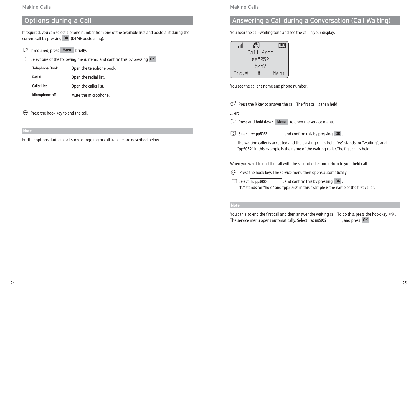### Making Calls

# Options during a Call

If required, you can select a phone number from one of the available lists and postdial it during the current call by pressing **OK** (DTMF postdialing).

 $\triangleright$  If required, press **Menu** briefly.

**F** Select one of the following menu items, and confirm this by pressing OK.

**Redial Telephone Book**

**Caller List**

Open the telephone book. Open the redial list.

Open the caller list.

Mute the microphone. **Microphone off**

#### $\Theta$ Press the hook key to end the call.

**Note**

Further options during a call such as toggling or call transfer are described below.

# Making Calls

# Answering a Call during a Conversation (Call Waiting)

You hear the call-waiting tone and see the call in your display.

|        | Call from |  |      |  |  |  |  |
|--------|-----------|--|------|--|--|--|--|
| PP5052 |           |  |      |  |  |  |  |
| 5052   |           |  |      |  |  |  |  |
| Mic.®  | ÷         |  | Menu |  |  |  |  |

You see the caller's name and phone number.

 $\mathbb F$  Press the R key to answer the call. The first call is then held.

**... or:**

E $\Box$  Press and **hold down** Menu to open the service menu.

Select w: pp5052 **Widelect** w: **pp5052 Confirm this by pressing <b>OK** ...

The waiting caller is accepted and the existing call is held. "w:" stands for "waiting", and "pp5052" in this example is the name of the waiting caller.The first call is held.

When you want to end the call with the second caller and return to your held call:

 $\Theta$  Press the hook key. The service menu then opens automatically.

 $\therefore$  Select **h:** pp5050 *h* and confirm this by pressing **OK**. "h:" stands for "hold" and "pp5050" in this example is the name of the first caller.

# **Note**

You can also end the first call and then answer the waiting call. To do this, press the hook key  $\Theta$ . The service menu opens automatically. Select  $\vert w:$  pp5052  $\vert$ , and press **OK**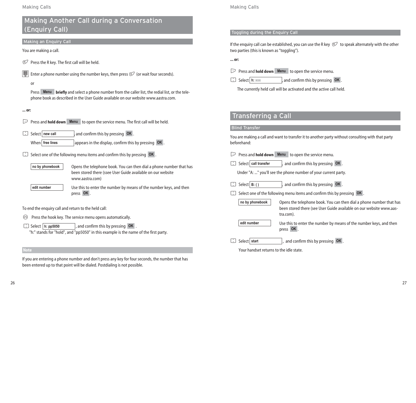# Making Another Call during a Conversation (Enquiry Call)

### Making an Enquiry Call

You are making a call.

- $R$ Press the R key. The first call will be held.
- **EXECUTE:** Enter a phone number using the number keys, then press  $\mathbb{F}$  (or wait four seconds).
	- or

Press **Menu briefly** and select a phone number from the caller list, the redial list, or the telephone book as described in the User Guide available on our website www.aastra.com.

# **... or:**

- **E** Press and **hold down** Menu to open the service menu. The first call will be held.
- Select new call . Select | new call **busing in the last of line is by pressing OK** ... When **free lines appears in the display, confirm this by pressing OK**.
- **F** Select one of the following menu items and confirm this by pressing OK.

**no by phonebook**

Opens the telephone book. You can then dial a phone number that has been stored there (ssee User Guide available on our website www.aastra.com)

**edit number**

Use this to enter the number by means of the number keys, and then press . **OK**

To end the enquiry call and return to the held call:

 $\Theta$  Press the hook key. The service menu opens automatically.

**h:** pp5050 and confirm this by pressing OK. "h:" stands for "hold", and "pp5050" in this example is the name of the first party.

### **Note**

If you are entering a phone number and don't press any key for four seconds, the number that has been entered up to that point will be dialed. Postdialing is not possible.

# Making Calls

# Toggling during the Enquiry Call

If the enquiry call can be established, you can use the R key  $\mathbb C$  to speak alternately with the other two parties (this is known as "toggling").

**... or:**

 $\triangleright$  $\supset$  Press and **hold down** Menu to open the service menu.

Select h: xxx **h:**  $\frac{1}{2}$  Select **h:**  $\frac{1}{2}$  **b:**  $\frac{1}{2}$  **confirm this by pressing OK**.

The currently held call will be activated and the active call held.

# Transferring a Call

# Blind Transfer

You are making a call and want to transfer it to another party without consulting with that party beforehand:

- E Press and **hold down** to open the service menu. **Menu**
- **Fill** Select call transfer **c** Select call transfer and confirm this by pressing OK.
	- Under "A: ..." you'll see the phone number of your current party.
- $\Box$  Select **B**: () **Select B: ( ) Select , and confirm this by pressing OK** .
- **F** Select one of the following menu items and confirm this by pressing OK.

**no by phonebook**

Opens the telephone book. You can then dial a phone number that has been stored there (see User Guide available on our website www.aastra.com)

**edit number**

Use this to enter the number by means of the number keys, and then press . **OK**

**Fil** Select start **Select start Select I**, and confirm this by pressing **OK**.

Your handset returns to the idle state.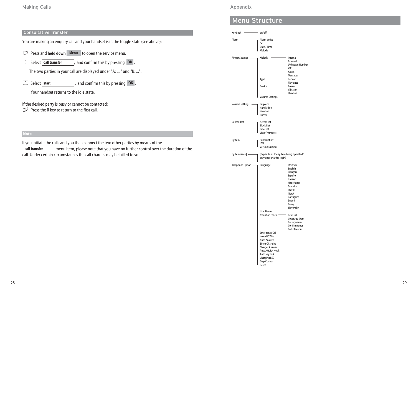# Consultative Transfer

You are making an enquiry call and your handset is in the toggle state (see above):

- $\triangleright$  Press and **hold down** Menu to open the service menu.
- Select call transfer Select call transfer  $\Box$  and confirm this by pressing **OK**.

The two parties in your call are displayed under "A: ... " and "B: ...".

Select start  $\Box$  Select start **CEL** and confirm this by pressing **OK**.

Your handset returns to the idle state.

If the desired party is busy or cannot be contacted:  $\mathbb F$  Press the R key to return to the first call.

If you initiate the calls and you then connect the two other parties by means of the menu item, please note that you have no further control over the duration of the call. Under certain circumstances the call charges may be billed to you. **call transfer**

# Appendix

# Menu Structure

Key Lock on/off Alarm **Alarm active** Set Date / Time Melody Ringer Settings \_\_\_\_\_\_\_\_\_ Melody \_\_\_\_\_\_\_\_\_\_\_\_\_ Internal External Unknown Number <u>I</u> VIP **VIP** Alarm **Messages** Type **Repeat** Play once Device Buzzer Vibrator **Headset** Volume Settings Volume Settings - Earpiece Hands-free Headset Buzzer Caller Filter **Accept list** Block List Filter off List of numbers System - Subscriptions IPEI Version Number [Systemname] - (depends on the system being operated/ only appears after login) Telephone Option - Language Deutsch English Français Español Italiano Nederlands Svenska Dansk Norsk **Portugues** Suomi **Cesky** Slovensky User Name Attention tones **Key Click** Coverage Warn Battery alarm Confirm tones End of Menu Emergency Call Voice BOX No. Auto Answer Silent Charging Charger Answer Auto.KQuick Hook Auto.key lock Charging LED Disp.Contrast

Reset